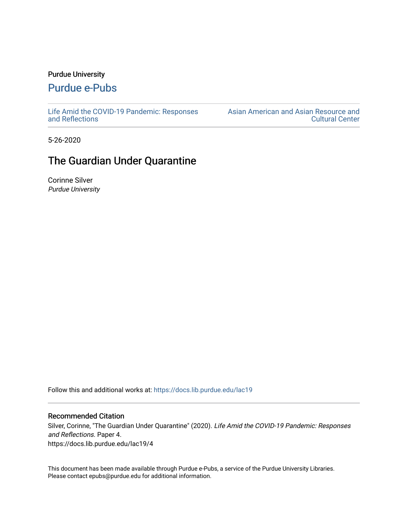### Purdue University

## [Purdue e-Pubs](https://docs.lib.purdue.edu/)

[Life Amid the COVID-19 Pandemic: Responses](https://docs.lib.purdue.edu/lac19)  [and Reflections](https://docs.lib.purdue.edu/lac19) 

[Asian American and Asian Resource and](https://docs.lib.purdue.edu/aaarcc)  [Cultural Center](https://docs.lib.purdue.edu/aaarcc) 

5-26-2020

# The Guardian Under Quarantine

Corinne Silver Purdue University

Follow this and additional works at: [https://docs.lib.purdue.edu/lac19](https://docs.lib.purdue.edu/lac19?utm_source=docs.lib.purdue.edu%2Flac19%2F4&utm_medium=PDF&utm_campaign=PDFCoverPages)

#### Recommended Citation

Silver, Corinne, "The Guardian Under Quarantine" (2020). Life Amid the COVID-19 Pandemic: Responses and Reflections. Paper 4. https://docs.lib.purdue.edu/lac19/4

This document has been made available through Purdue e-Pubs, a service of the Purdue University Libraries. Please contact epubs@purdue.edu for additional information.